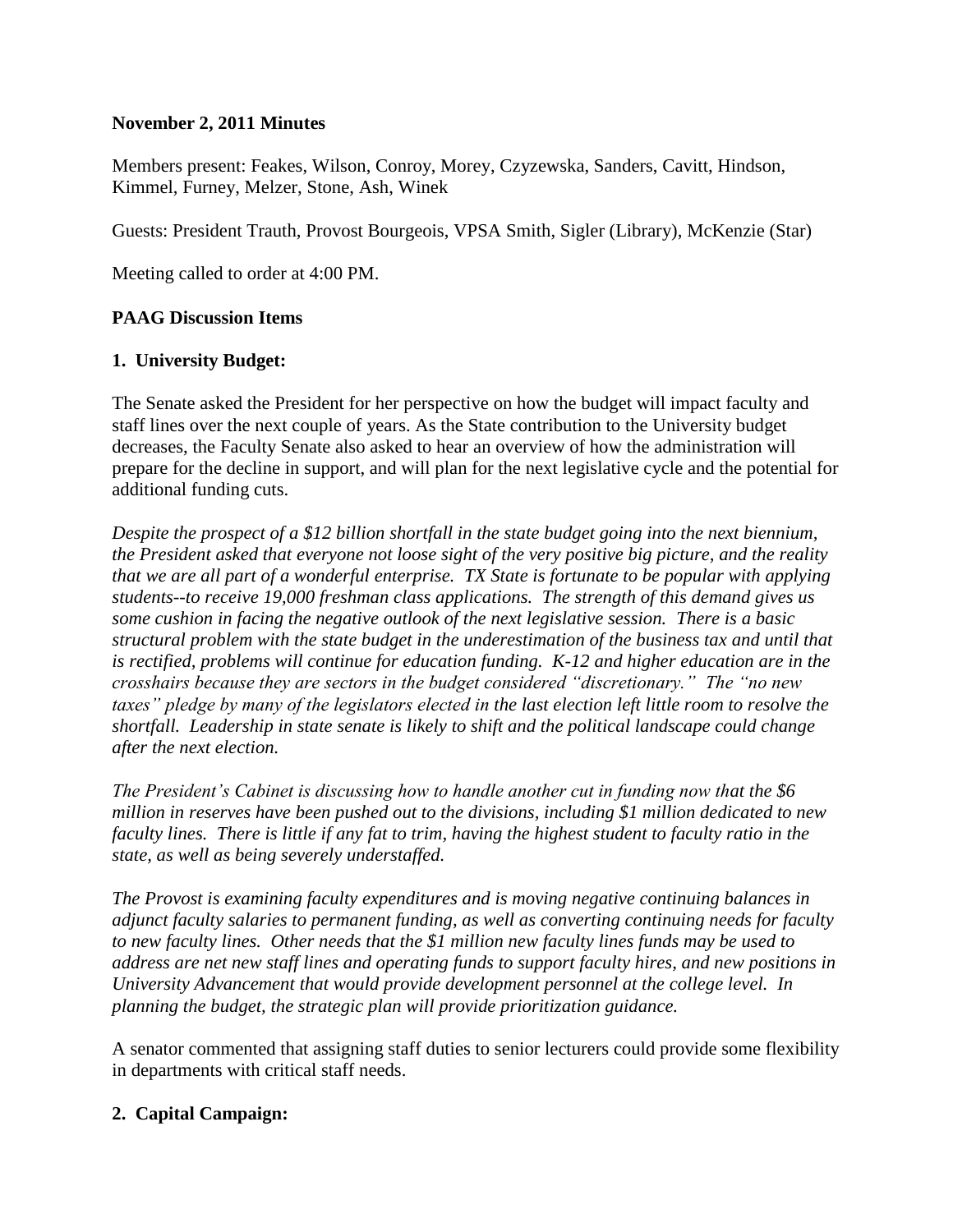### **November 2, 2011 Minutes**

Members present: Feakes, Wilson, Conroy, Morey, Czyzewska, Sanders, Cavitt, Hindson, Kimmel, Furney, Melzer, Stone, Ash, Winek

Guests: President Trauth, Provost Bourgeois, VPSA Smith, Sigler (Library), McKenzie (Star)

Meeting called to order at 4:00 PM.

# **PAAG Discussion Items**

# **1. University Budget:**

The Senate asked the President for her perspective on how the budget will impact faculty and staff lines over the next couple of years. As the State contribution to the University budget decreases, the Faculty Senate also asked to hear an overview of how the administration will prepare for the decline in support, and will plan for the next legislative cycle and the potential for additional funding cuts.

*Despite the prospect of a \$12 billion shortfall in the state budget going into the next biennium, the President asked that everyone not loose sight of the very positive big picture, and the reality that we are all part of a wonderful enterprise. TX State is fortunate to be popular with applying students--to receive 19,000 freshman class applications. The strength of this demand gives us some cushion in facing the negative outlook of the next legislative session. There is a basic structural problem with the state budget in the underestimation of the business tax and until that is rectified, problems will continue for education funding. K-12 and higher education are in the crosshairs because they are sectors in the budget considered "discretionary." The "no new taxes" pledge by many of the legislators elected in the last election left little room to resolve the shortfall. Leadership in state senate is likely to shift and the political landscape could change after the next election.* 

*The President's Cabinet is discussing how to handle another cut in funding now that the \$6 million in reserves have been pushed out to the divisions, including \$1 million dedicated to new faculty lines. There is little if any fat to trim, having the highest student to faculty ratio in the state, as well as being severely understaffed.*

*The Provost is examining faculty expenditures and is moving negative continuing balances in adjunct faculty salaries to permanent funding, as well as converting continuing needs for faculty to new faculty lines. Other needs that the \$1 million new faculty lines funds may be used to address are net new staff lines and operating funds to support faculty hires, and new positions in University Advancement that would provide development personnel at the college level. In planning the budget, the strategic plan will provide prioritization guidance.* 

A senator commented that assigning staff duties to senior lecturers could provide some flexibility in departments with critical staff needs.

### **2. Capital Campaign:**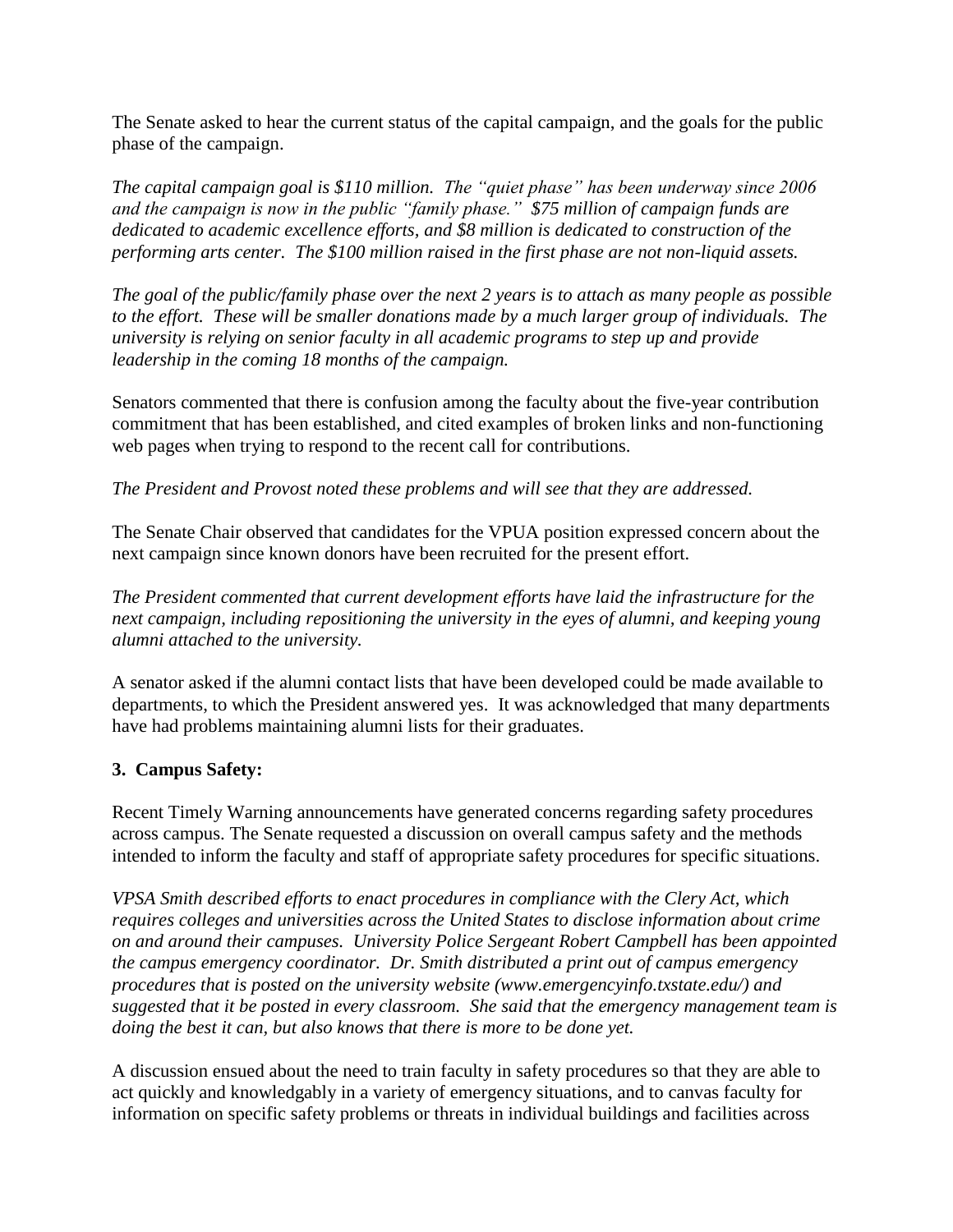The Senate asked to hear the current status of the capital campaign, and the goals for the public phase of the campaign.

*The capital campaign goal is \$110 million. The "quiet phase" has been underway since 2006 and the campaign is now in the public "family phase." \$75 million of campaign funds are dedicated to academic excellence efforts, and \$8 million is dedicated to construction of the performing arts center. The \$100 million raised in the first phase are not non-liquid assets.* 

*The goal of the public/family phase over the next 2 years is to attach as many people as possible to the effort. These will be smaller donations made by a much larger group of individuals. The university is relying on senior faculty in all academic programs to step up and provide leadership in the coming 18 months of the campaign.* 

Senators commented that there is confusion among the faculty about the five-year contribution commitment that has been established, and cited examples of broken links and non-functioning web pages when trying to respond to the recent call for contributions.

*The President and Provost noted these problems and will see that they are addressed.* 

The Senate Chair observed that candidates for the VPUA position expressed concern about the next campaign since known donors have been recruited for the present effort.

*The President commented that current development efforts have laid the infrastructure for the next campaign, including repositioning the university in the eyes of alumni, and keeping young alumni attached to the university.*

A senator asked if the alumni contact lists that have been developed could be made available to departments, to which the President answered yes. It was acknowledged that many departments have had problems maintaining alumni lists for their graduates.

# **3. Campus Safety:**

Recent Timely Warning announcements have generated concerns regarding safety procedures across campus. The Senate requested a discussion on overall campus safety and the methods intended to inform the faculty and staff of appropriate safety procedures for specific situations.

*VPSA Smith described efforts to enact procedures in compliance with the Clery Act, which requires colleges and universities across the United States to disclose information about crime on and around their campuses. University Police Sergeant Robert Campbell has been appointed the campus emergency coordinator. Dr. Smith distributed a print out of campus emergency procedures that is posted on the university website (www.emergencyinfo.txstate.edu/) and suggested that it be posted in every classroom. She said that the emergency management team is doing the best it can, but also knows that there is more to be done yet.* 

A discussion ensued about the need to train faculty in safety procedures so that they are able to act quickly and knowledgably in a variety of emergency situations, and to canvas faculty for information on specific safety problems or threats in individual buildings and facilities across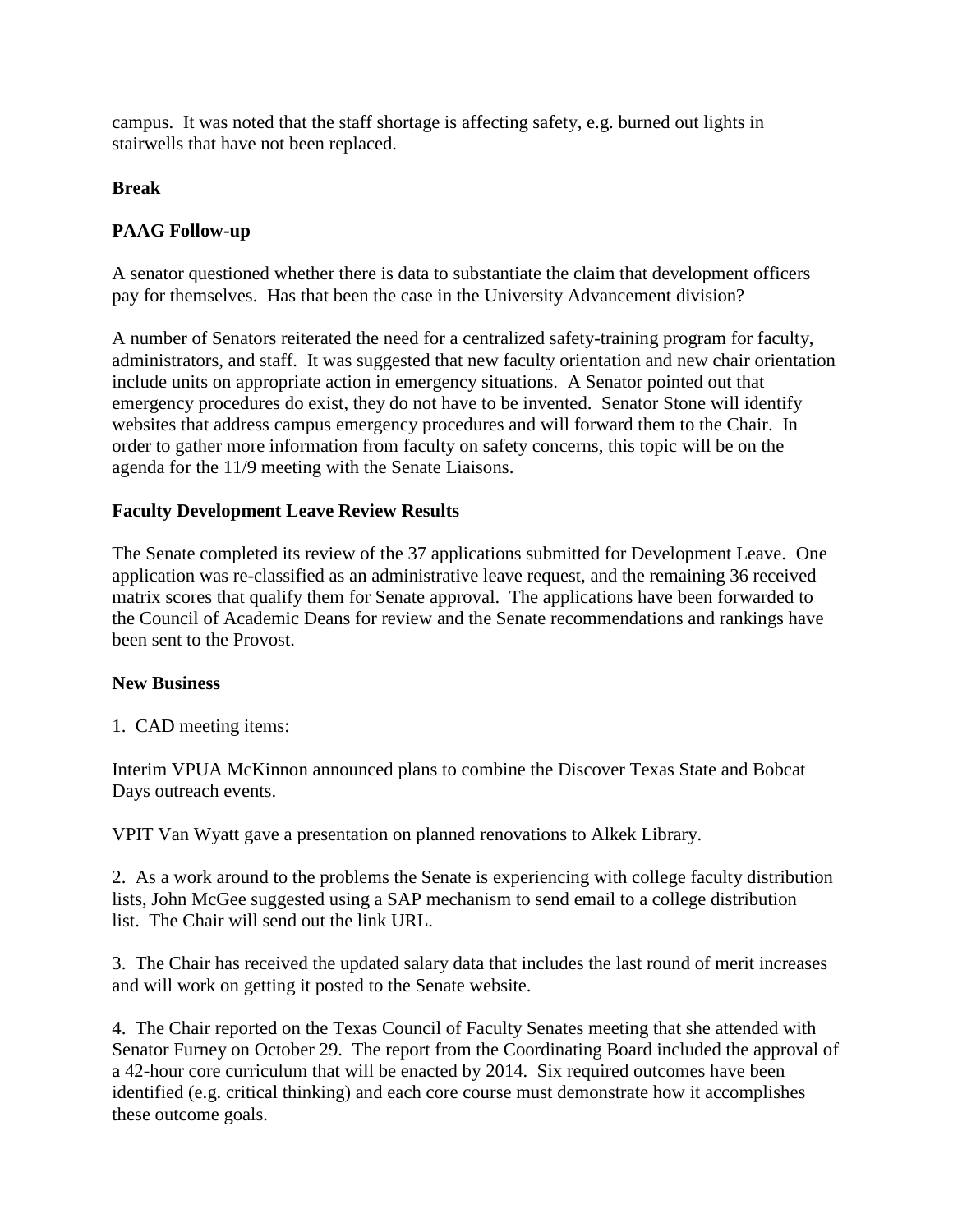campus. It was noted that the staff shortage is affecting safety, e.g. burned out lights in stairwells that have not been replaced.

#### **Break**

### **PAAG Follow-up**

A senator questioned whether there is data to substantiate the claim that development officers pay for themselves. Has that been the case in the University Advancement division?

A number of Senators reiterated the need for a centralized safety-training program for faculty, administrators, and staff. It was suggested that new faculty orientation and new chair orientation include units on appropriate action in emergency situations. A Senator pointed out that emergency procedures do exist, they do not have to be invented. Senator Stone will identify websites that address campus emergency procedures and will forward them to the Chair. In order to gather more information from faculty on safety concerns, this topic will be on the agenda for the 11/9 meeting with the Senate Liaisons.

#### **Faculty Development Leave Review Results**

The Senate completed its review of the 37 applications submitted for Development Leave. One application was re-classified as an administrative leave request, and the remaining 36 received matrix scores that qualify them for Senate approval. The applications have been forwarded to the Council of Academic Deans for review and the Senate recommendations and rankings have been sent to the Provost.

#### **New Business**

1. CAD meeting items:

Interim VPUA McKinnon announced plans to combine the Discover Texas State and Bobcat Days outreach events.

VPIT Van Wyatt gave a presentation on planned renovations to Alkek Library.

2. As a work around to the problems the Senate is experiencing with college faculty distribution lists, John McGee suggested using a SAP mechanism to send email to a college distribution list. The Chair will send out the link URL.

3. The Chair has received the updated salary data that includes the last round of merit increases and will work on getting it posted to the Senate website.

4. The Chair reported on the Texas Council of Faculty Senates meeting that she attended with Senator Furney on October 29. The report from the Coordinating Board included the approval of a 42-hour core curriculum that will be enacted by 2014. Six required outcomes have been identified (e.g. critical thinking) and each core course must demonstrate how it accomplishes these outcome goals.